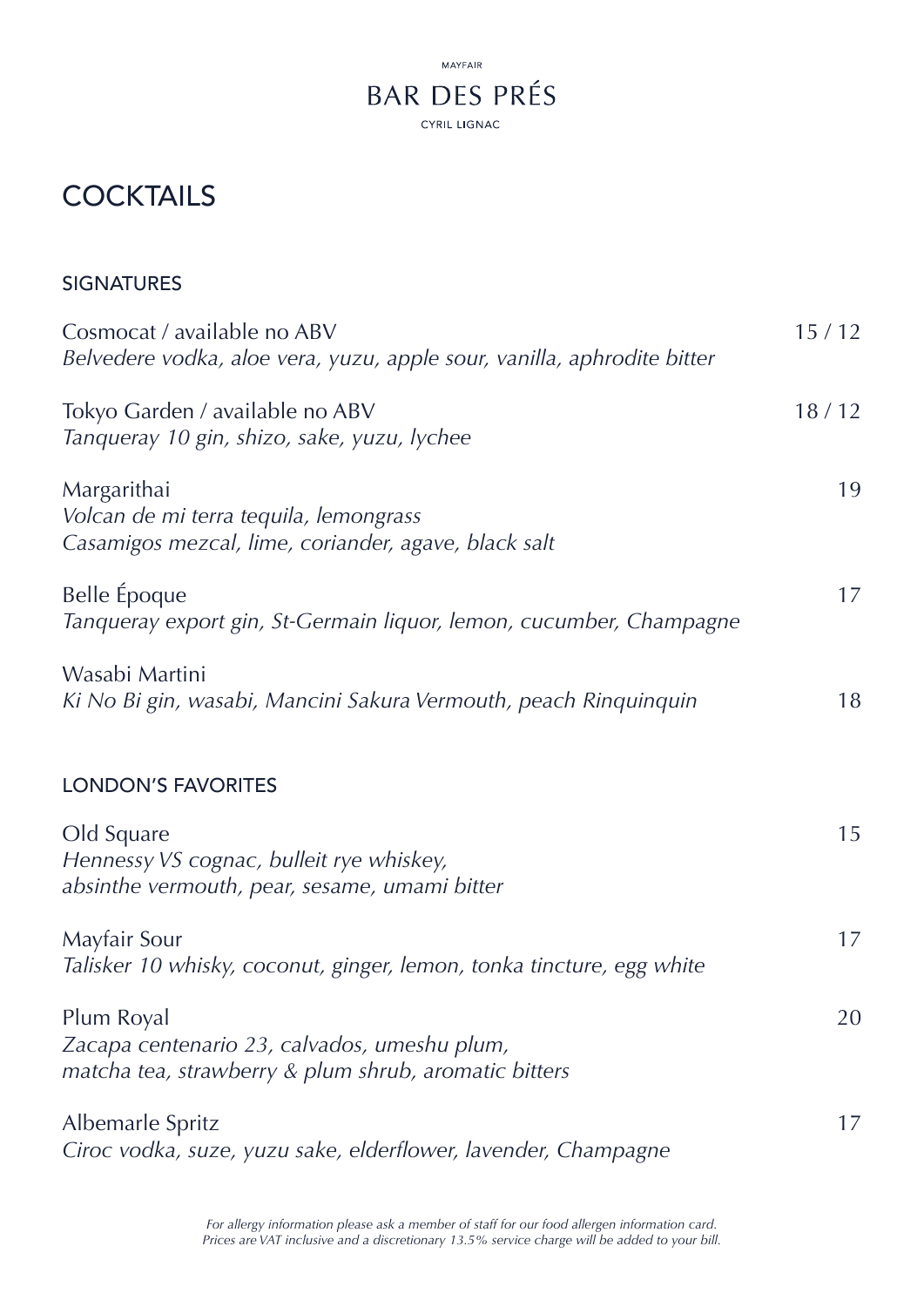

# **COCKTAILS**

| Cosmocat / available no ABV<br>Belvedere vodka, aloe vera, yuzu, apple sour, vanilla, aphrodite bitter              | 15/12 |
|---------------------------------------------------------------------------------------------------------------------|-------|
| Tokyo Garden / available no ABV<br>Tanqueray 10 gin, shizo, sake, yuzu, lychee                                      | 18/12 |
| Margarithai<br>Volcan de mi terra tequila, lemongrass<br>Casamigos mezcal, lime, coriander, agave, black salt       | 19    |
| Belle Époque<br>Tanqueray export gin, St-Germain liquor, lemon, cucumber, Champagne                                 | 17    |
| Wasabi Martini<br>Ki No Bi gin, wasabi, Mancini Sakura Vermouth, peach Rinquinquin                                  | 18    |
| <b>LONDON'S FAVORITES</b>                                                                                           |       |
| Old Square<br>Hennessy VS cognac, bulleit rye whiskey,<br>absinthe vermouth, pear, sesame, umami bitter             | 15    |
| Mayfair Sour<br>Talisker 10 whisky, coconut, ginger, lemon, tonka tincture, egg white                               | 17    |
| Plum Royal<br>Zacapa centenario 23, calvados, umeshu plum,<br>matcha tea, strawberry & plum shrub, aromatic bitters | 20    |
| Albemarle Spritz<br>Ciroc vodka, suze, yuzu sake, elderflower, lavender, Champagne                                  | 17    |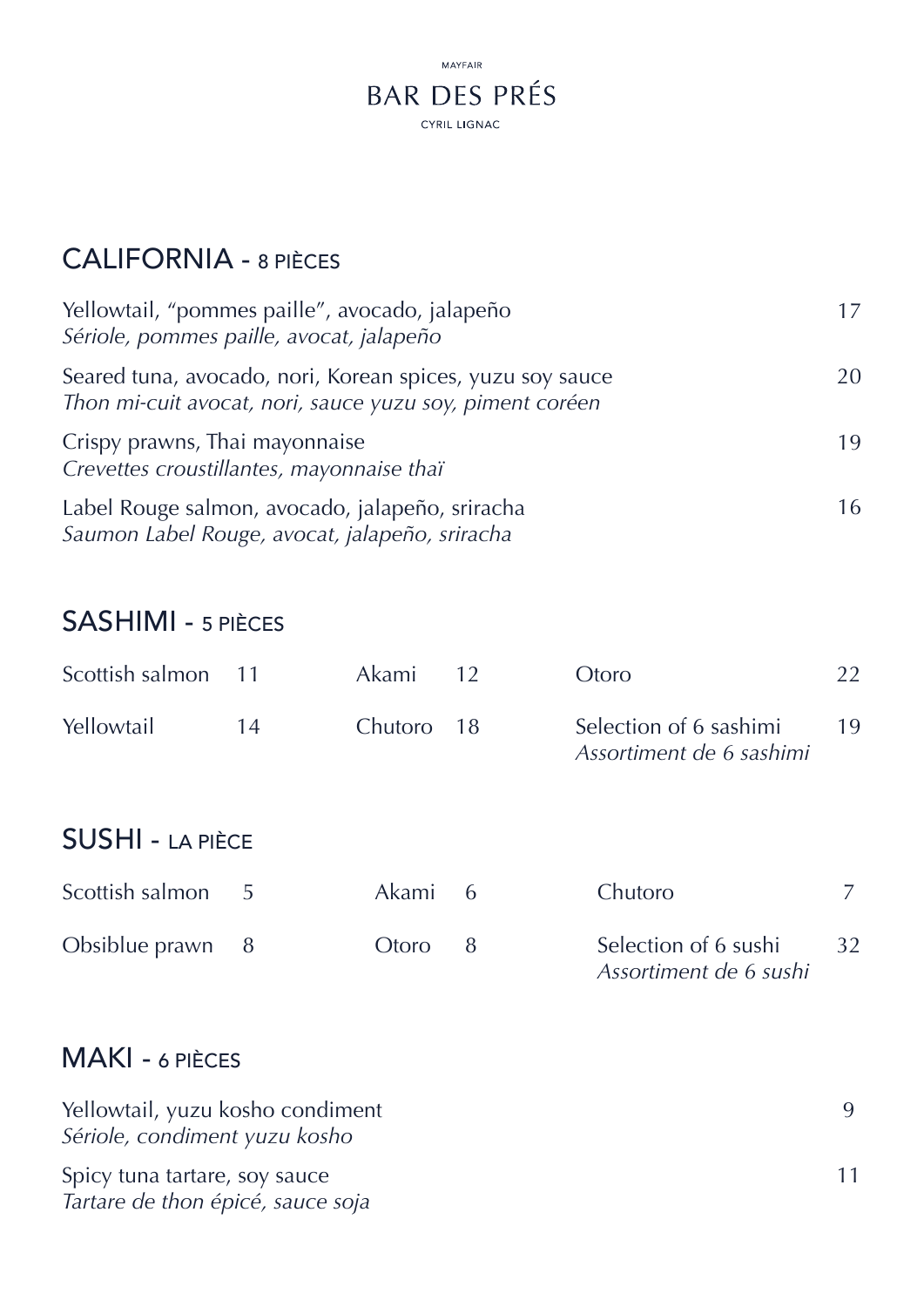

### CALIFORNIA - 8 PIÈCES

| Yellowtail, "pommes paille", avocado, jalapeño<br>Sériole, pommes paille, avocat, jalapeño                            |     |
|-----------------------------------------------------------------------------------------------------------------------|-----|
| Seared tuna, avocado, nori, Korean spices, yuzu soy sauce<br>Thon mi-cuit avocat, nori, sauce yuzu soy, piment coréen | 20. |
| Crispy prawns, Thai mayonnaise<br>Crevettes croustillantes, mayonnaise thaï                                           | 19  |
| Label Rouge salmon, avocado, jalapeño, sriracha<br>Saumon Label Rouge, avocat, jalapeño, sriracha                     | 16  |

# SASHIMI - 5 PIÈCES

| Scottish salmon         | $-11$ | Akami   | 12  | Otoro                                              | 22 |
|-------------------------|-------|---------|-----|----------------------------------------------------|----|
| Yellowtail              | 14    | Chutoro | 18  | Selection of 6 sashimi<br>Assortiment de 6 sashimi | 19 |
| <b>SUSHI - LA PIÈCE</b> |       |         |     |                                                    |    |
| Scottish salmon         | 5     | Akami   | - 6 | Chutoro                                            |    |
| Obsiblue prawn          | - 8   | Otoro   | 8   | Selection of 6 sushi<br>Assortiment de 6 sushi     | 32 |

## MAKI - 6 PIÈCES

| Yellowtail, yuzu kosho condiment<br>Sériole, condiment yuzu kosho  |  |
|--------------------------------------------------------------------|--|
| Spicy tuna tartare, soy sauce<br>Tartare de thon épicé, sauce soja |  |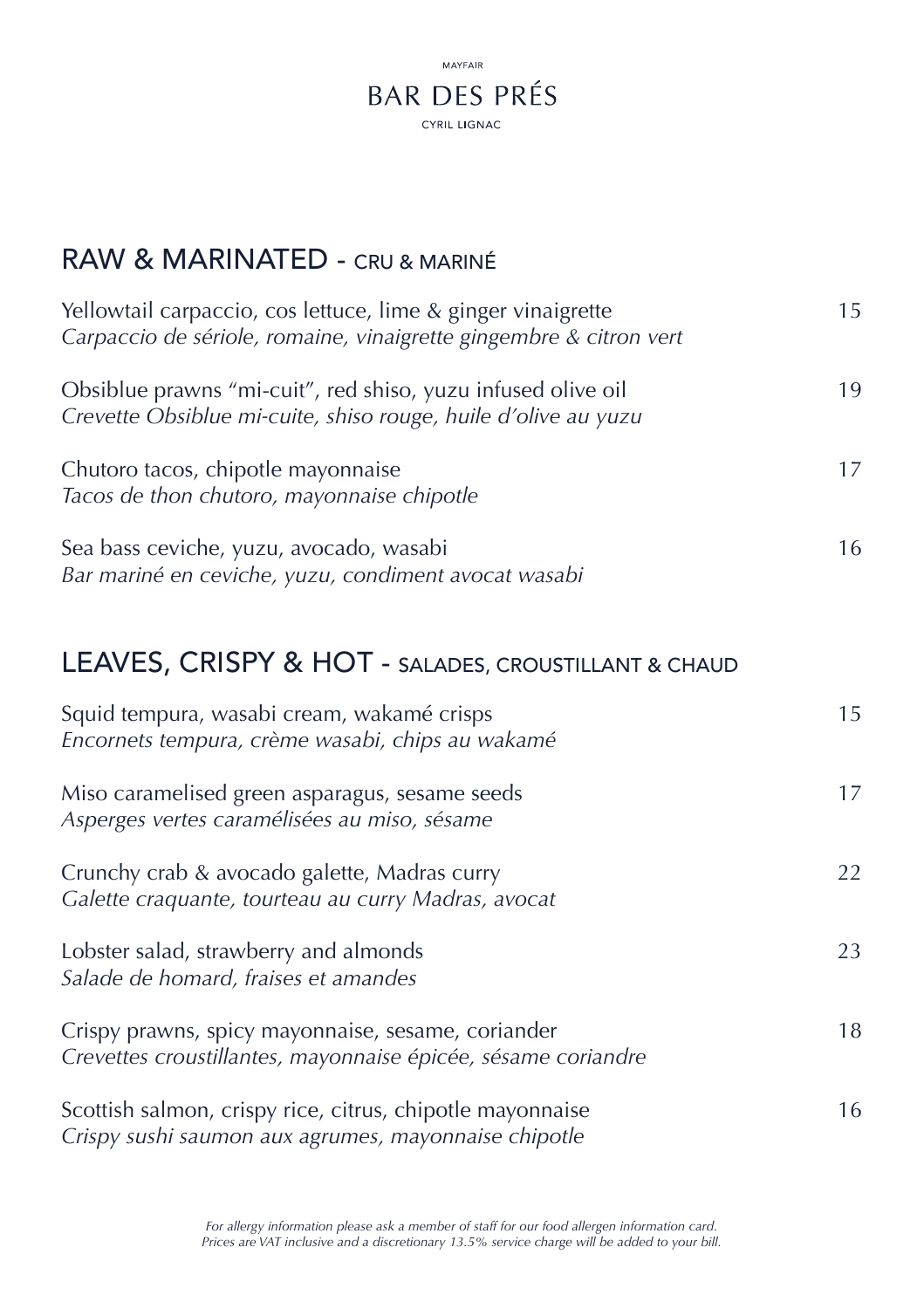

#### RAW & MARINATED - CRU & MARINÉ

| Yellowtail carpaccio, cos lettuce, lime & ginger vinaigrette<br>Carpaccio de sériole, romaine, vinaigrette gingembre & citron vert | 15 |
|------------------------------------------------------------------------------------------------------------------------------------|----|
| Obsiblue prawns "mi-cuit", red shiso, yuzu infused olive oil<br>Crevette Obsiblue mi-cuite, shiso rouge, huile d'olive au yuzu     | 19 |
| Chutoro tacos, chipotle mayonnaise<br>Tacos de thon chutoro, mayonnaise chipotle                                                   |    |
| Sea bass ceviche, yuzu, avocado, wasabi<br>Bar mariné en ceviche, yuzu, condiment avocat wasabi                                    | 16 |

#### LEAVES, CRISPY & HOT - SALADES, CROUSTILLANT & CHAUD

| Squid tempura, wasabi cream, wakamé crisps<br>Encornets tempura, crème wasabi, chips au wakamé                      | 15 |
|---------------------------------------------------------------------------------------------------------------------|----|
| Miso caramelised green asparagus, sesame seeds<br>Asperges vertes caramélisées au miso, sésame                      | 17 |
| Crunchy crab & avocado galette, Madras curry<br>Galette craquante, tourteau au curry Madras, avocat                 | 22 |
| Lobster salad, strawberry and almonds<br>Salade de homard, fraises et amandes                                       | 23 |
| Crispy prawns, spicy mayonnaise, sesame, coriander<br>Crevettes croustillantes, mayonnaise épicée, sésame coriandre | 18 |
| Scottish salmon, crispy rice, citrus, chipotle mayonnaise<br>Crispy sushi saumon aux agrumes, mayonnaise chipotle   | 16 |